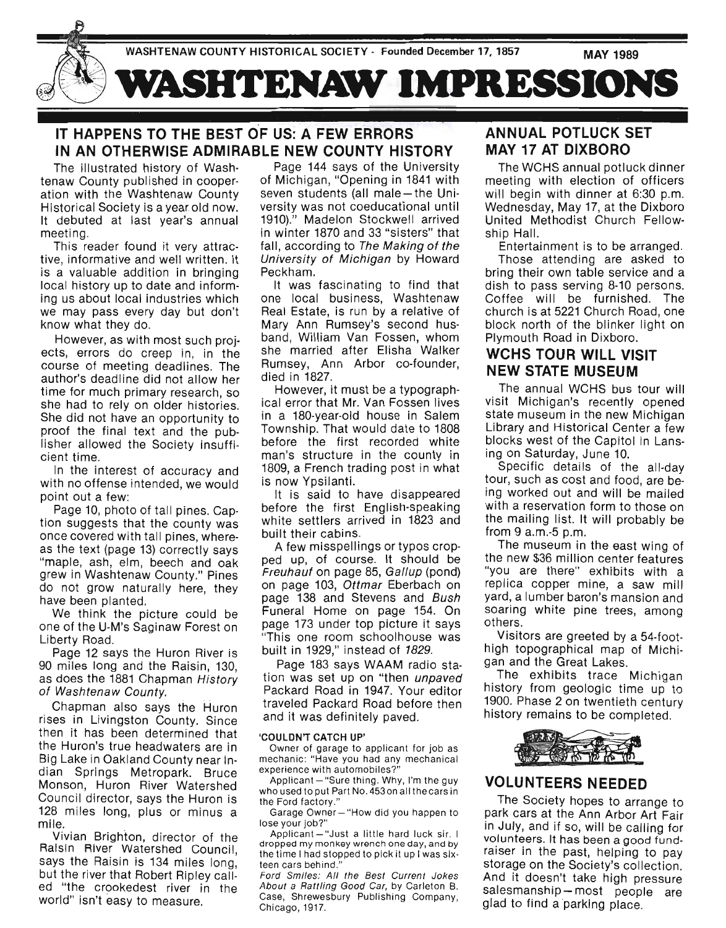

### IT HAPPENS TO THE BEST OF US: A FEW ERRORS IN AN OTHERWISE ADMIRABLE NEW COUNTY HISTORY

The illustrated history of Washtenaw County published in cooperation with the Washtenaw County Historical Society is a year old now. It debuted at last year's annual meeting.

This reader found it very attractive, informative and well written. It is a valuable addition in bringing local history up to date and informing us about local industries which we may pass every day but don't know what they do.

However, as with most such projects, errors do creep in, in the course of meeting deadlines. The author's deadline did not allow her time for much primary research, so she had to rely on older histories. She did not have an opportunity to proof the final text and the publisher allowed the Society insufficient time.

In the interest of accuracy and with no offense intended, we would point out a few:

Page 10, photo of tall pines. Caption suggests that the county was once covered with tall pines, whereas the text (page 13) correctly says "maple, ash, elm, beech and oak grew in Washtenaw County." Pines do not grow naturally here, they have been planted.

We think the picture could be one of the U-M's Saginaw Forest on Liberty Road.

Page 12 says the Huron River is 90 miles long and the Raisin, 130, as does the 1881 Chapman History of Washtenaw County.

Chapman also says the Huron rises in Livingston County. Since then it has been determined that the Huron's true headwaters are in Big Lake in Oakland County near Indian Springs Metropark. Bruce Monson, Huron River Watershed Council director, says the Huron is 128 miles long, plus or minus a mile.

Vivian Brighton, director of the Raisin River Watershed Council, says the Raisin is 134 miles long, but the river that Robert Ripley called "the crookedest river in the world" isn't easy to measure.

Page 144 says of the University of Michigan, "Opening in 1841 with seven students (all male - the Uni-. versity was not coeducational until 1910)." Madelon Stockwell arrived in winter 1870 and 33 "sisters" that fall, according to The Making of the University of Michigan by Howard Peckham.

It was fascinating to find that one local business, Washtenaw Real Estate, is run by a relative of Mary Ann Rumsey's second husband, William Van Fossen, whom she married after Elisha Walker Rumsey, Ann Arbor co-founder, died in 1827.

However, it must be a typographical error that Mr. Van Fossen lives in a 180-year-old house in Salem Township. That would date to 1808 before the first recorded white man's structure in the county in 1809, a French trading post in what is now Ypsilanti.

It is said to have disappeared before the first English-speaking white settlers arrived in 1823 and built their cabins.

A few misspellings or typos cropped up, of course. It should be Freuhauf on page 85, Gallup (pond) on page 103, Ottmar Eberbach on page 138 and Stevens and Bush Funeral Home on page 154. On page 173 under top picture it says "This one room schoolhouse was built in 1929," instead of 1829.

Page 183 says WAAM radio station was set up on "then *unpaved* Packard Road in 1947. Your editor traveled Packard Road before then and it was definitely paved.

#### 'COULDN'T CATCH UP'

Owner of garage to applicant for job as mechanic: "Have you had any mechanical experience with automobiles?"

Applicant  $-$  "Sure thing. Why, I'm the guy who used to put Part No. 4530n all the cars in the Ford factory ."

Garage Owner- "How did you happen to lose your job?"

Applicant - "Just a little hard luck sir. I dropped my monkey wrench one day, and by the time I had stopped to pick it up I was six· teen cars behind."

Ford Smiles: All the Best Current Jokes About a Rattling Good Car, by Carleton B. Case, Shrewesbury Publishing Company, Chicago, 1917.

### ANNUAL POTLUCK SET MAY 17 AT DIXBORO

The WCHS annual potluck dinner meeting with election of officers will begin with dinner at 6:30 p.m. Wednesday, May 17, at the Dixboro United Methodist Church Fellowship Hall.

Entertainment is to be arranged.

Those attending are asked to bring their own table service and a dish to pass serving 8-10 persons. Coffee will be furnished. The church is at 5221 Church Road, one block north of the blinker light on Plymouth Road in Dixboro.

#### WCHS TOUR WILL VISIT NEW STATE MUSEUM

The annual WCHS bus tour will visit Michigan's recently opened state museum in the new Michigan Library and Historical Center a few blocks west of the Capitol in Lansing on Saturday, June 10.

Specific details of the all-day tour, such as cost and food, are being worked out and will be mailed with a reservation form to those on the mailing list. It will probably be from 9 a.m.-5 p.m.

The museum in the east wing of the new \$36 million center features "you are there" exhibits with a replica copper mine, a saw mill yard, a lumber baron's mansion and soaring white pine trees, among others.

Visitors are greeted by a 54-foothigh topographical map of Michigan and the Great Lakes.

The exhibits trace Michigan history from geologic time up to 1900. Phase 2 on twentieth century history remains to be completed.



#### VOLUNTEERS NEEDED

The Society hopes to arrange to park cars at the Ann Arbor Art Fair in July, and if so, will be calling for volunteers. It has been a good fundraiser in the past, helping to pay storage on the Society's collection. And it doesn't take high pressure salesmanship-most people are glad to find a parking place.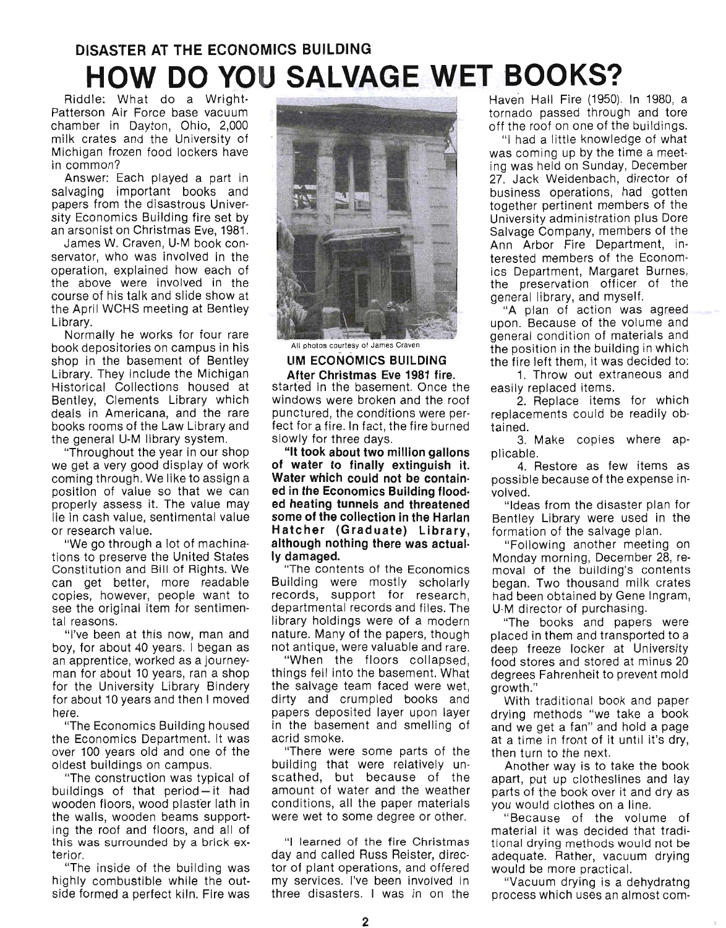# **DISASTER AT THE ECONOMICS BUILDING HOW DO YOU SALVAGE WET BOOKS?**

Riddle: What do a Wright-Patterson Air Force base vacuum chamber in Dayton, Ohio, 2,000 milk crates and the University of Michigan frozen food lockers have in common?

Answer: Each played a part in salvaging important books and papers from the disastrous University Economics Building fire set by an arsonist on Christmas Eve, 1981.

James W. Craven, U-M book conservator, who was involved in the operation, explained how each of the above were involved in the course of his talk and slide show at the April WCHS meeting at Bentley Library.

Normally he works for four rare book depositories on campus in his shop in the basement of Bentley Library. They include the Michigan Historical Collections housed at Bentley, Clements Library which deals in Americana, and the rare books rooms of the Law Library and the general U-M library system.

"Throughout the year in our shop we get a very good display of work coming through. We like to assign a position of value so that we can properly assess it. The value may lie in cash value, sentimental value or research value.

"We go through a lot of machinations to preserve the United States Constitution and Bill of Rights. We . can get better, more readable copies, however, people want to see the original item for sentimental reasons.

"I've been at this now, man and boy, for about 40 years. I began as an apprentice, worked as a journeyman for about 10 years, ran a shop for the University Library Bindery for about 10 years and then I moved here.

"The Economics Building housed the Economics Department. It was over 100 years old and one of the oldest buildings on campus.

"The construction was typical of buildings of that period $-$  it had wooden floors, wood plasfer lath in the walls, wooden beams supporting the roof and floors, and all of this was surrounded by a brick exterior.

"The inside of the building was highly combustible while the outside formed a perfect kiln. Fire was



All photos courtesy of James Craver

**UM ECONOMICS BUILDING After Christmas Eve 1981 fire\_**  started in the basement. Once the windows were broken and the roof punctured, the conditions were perfect for a fire. In fact, the fire burned slowly for three days.

**"It took about two million gallons of water to finally extinguish it. Water which could not be contained in the Economics Building flooded heating tunnels and threatened some of the collection in the Harlan Hatcher (Graduate) Library, although nothing there was actually damaged.** 

"The contents of the Economics Building were mostly scholarly records, support for research. departmental records and files. The library holdings were of a modern nature. Many of the papers, though not antique, were valuable and rare.

"When the floors collapsed, things fell into the basement. What the salvage team faced were wet, dirty and crumpled books and papers deposited layer upon layer in the basement and smelling of acrid smoke.

"There were some parts of the building that were relatively unscathed, but because of the amount of water and the weather conditions, all the paper materials were wet to some degree or other.

"I learned of the fire Christmas day and called Russ Reister, director of plant operations, and offered my services. I've been involved in three disasters. I was in on the Haven Hall Fire (1950). In 1980, a tornado passed through and tore off the roof on one of the buildings.

"I had a little knowledge of what was coming up by the time a meeting was held on Sunday, December 27. Jack Weidenbach, director of business operations, had gotten together pertinent members of the University administration plus Dore Salvage Company, members of the Ann Arbor Fire Department, interested members of the Economics Department, Margaret Burnes, the preservation officer of the general library, and myself.

"A plan of action was agreed upon. Because of the volume and general condition of materials and the position in the building in which the fire left them, it was decided to:

1. Throw out extraneous and easily replaced items.

2. Replace items for which replacements could be readily obtained.

3. Make copies where applicable.

4. Restore as few items as possible because of the expense involved.

"Ideas from the disaster plan for Bentley Library were used in the formation of the salvage plan.

"Following another meeting on Monday morning, December 28, removal of the building's contents began. Two thousand milk crates had been obtained by Gene Ingram, U-M director of purchasing.

"The books and papers were placed in them and transported to a deep freeze locker at University food stores and stored at minus 20 degrees Fahrenheit to prevent mold growth."

With traditional book and paper drying methods "we take a book and we get a fan" and hold a page at a time in front of it until it's dry, then turn to the next.

Another way is to take the book apart, put up clotheslines and lay parts of the book over it and dry as you would clothes on a line.

"Because of the volume of material it was decided that traditional drying methods would not be adequate. Rather, vacuum drying would be more practical.

"Vacuum drying is a dehydratng process which uses an almost com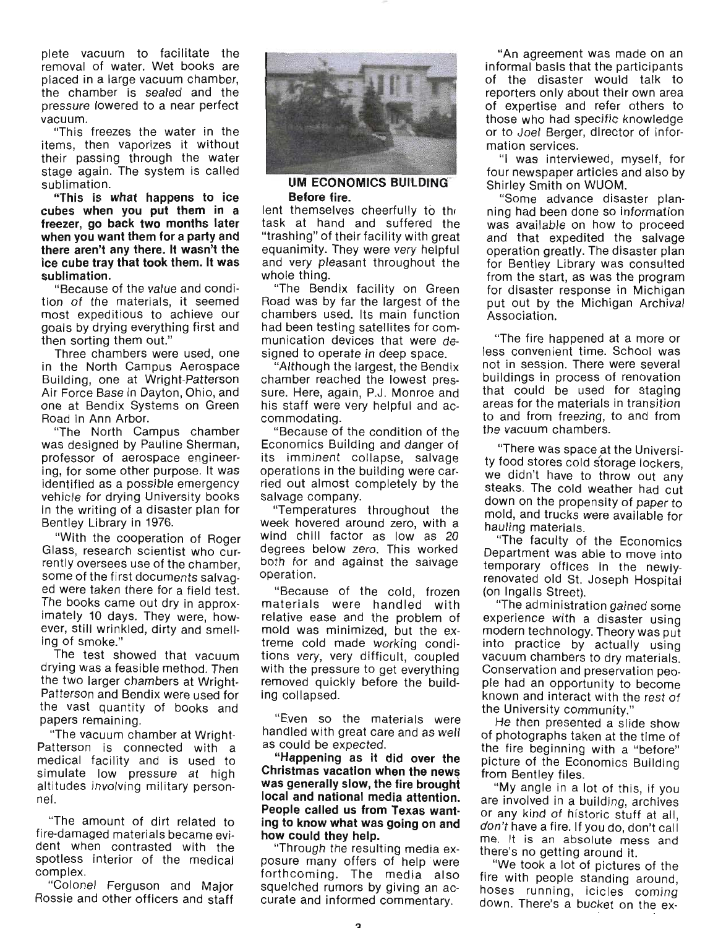plete vacuum to facilitate the removal of water. Wet books are placed in a large vacuum chamber, the chamber is sealed and the pressure lowered to a near perfect vacuum.

"This freezes the water in the items, then vaporizes it without their passing through the water stage again. The system is called sublimation.

**"This is what happens to ice cubes when you put them in a freezer, go back two months later when you want them for a party and there aren't any there. It wasn't the ice cube tray that took them. It was sublimation.** 

"Because of the value and condition of the materials, it seemed most expeditious to achieve our goals by drying everything first and then sorting them out."

Three chambers were used, one in the North Campus Aerospace Building, one at Wright-Patterson Air Force Base in Dayton, Ohio, and one at Bendix Systems on Green Road in Ann Arbor.

"The North Campus chamber was designed by Pauline Sherman, professor of aerospace engineering, for some other purpose. It was identified as a possible emergency vehicle for drying University books in the writing of a disaster plan for Bentley Library in 1976.

"With the cooperation of Roger Glass, research scientist who currently oversees use of the chamber, some of the first documents salvaged were taken there for a field test. The books came out dry in approximately 10 days. They were, however, still wrinkled, dirty and smelling of smoke."

The test showed that vacuum drying was a feasible method. Then the two larger chambers at Wright-Patterson and Bendix were used for the vast quantity of books and papers remaining.

"The vacuum chamber at Wright-Patterson is connected with a medical facility and is used to simulate low pressure at high altitudes involving military personnel.

"The amount of dirt related to fire-damaged materials became evident when contrasted with the spotless interior of the medical complex.

"Colonel Ferguson and Major Rossie and other officers and staff



#### **UM ECONOMICS BUILDING" Before fire.**

lent themselves cheerfully to the task at hand and suffered the "trashing" of their facility with great equanimity. They were very helpful and very pleasant throughout the whole thing.

"The Bendix facility on Green Road was by far the largest of the chambers used. Its main function had been testing satellites for communication devices that were designed to operate in deep space.

"Although the largest, the Bendix chamber reached the lowest pressure. Here, again, P.J. Monroe and his staff were very helpful and accommodating.

"Because of the condition of the Economics Building and danger of its imminent collapse, salvage operations in the building were carried out almost completely by the salvage company.

"Temperatures throughout the week hovered around zero, with a wind chill factor as low as 20 degrees below zero. This worked both for and against the saivage operation.

"Because of the cold, frozen materials were handled with relative ease and the problem of mold was minimized, but the extreme cold made working conditions very, very difficult, coupled with the pressure to get everything removed quickly before the building collapsed.

"Even so the materials were handled with great care and as well as could be expected.

**"Happening as it did over the Christmas vacation when the news was generally slow, the fire brought local and national media attention. People called us from Texas wanting to know what was going on and how could they help.** 

"Through the resulting media exposure many offers of help were forthcoming. The media also squelched rumors by giving an accurate and informed commentary.

"An agreement was made on an informal basis that the participants of the disaster would talk to reporters only about their own area of expertise and refer others to those who had specific knowledge or to Joel Berger, director of information services.

"I was interviewed, myself, for four newspaper articles and also by Shirley Smith on WUOM.

"Some advance disaster planning had been done so information was available on how to proceed and that expedited the salvage operation greatly. The disaster plan for Bentley Library was consulted from the start, as was the program for disaster response in Michigan put out by the Michigan Archival Association.

"The fire happened at a more or less convenient time. School was not in session. There were several buildings in process of renovation that could be used for staging areas for the materials in transition to and from freezing, to and from the vacuum chambers.

"There was space at the University food stores cold storage lockers, we didn't have to throw out any steaks. The cold weather had cut down on the propensity of paper to mold, and trucks were available for hauling materials.

"The faculty of the Economics Department was able to move into temporary offices in the newlyrenovated old St. Joseph Hospital (on Ingalls Street).

"The administration gained some experience with a disaster using modern technology. Theory was put into practice by actually using vacuum chambers to dry materials. Conservation and preservation people had an opportunity to become known and interact with the rest of the University community."

He then presented a slide show of photographs taken at the time of the fire beginning with a "before" picture of the Economics Building from Bentley files.

"My angle in a lot of this, if you are involved in a building, archives or any kind of historic stuff at all, don't have a fire. If you do, don't call me. It is an absolute mess and there's no getting around it.

"We took a lot of pictures of the fire with people standing around, hoses running, icicles coming down. There's a bucket on the ex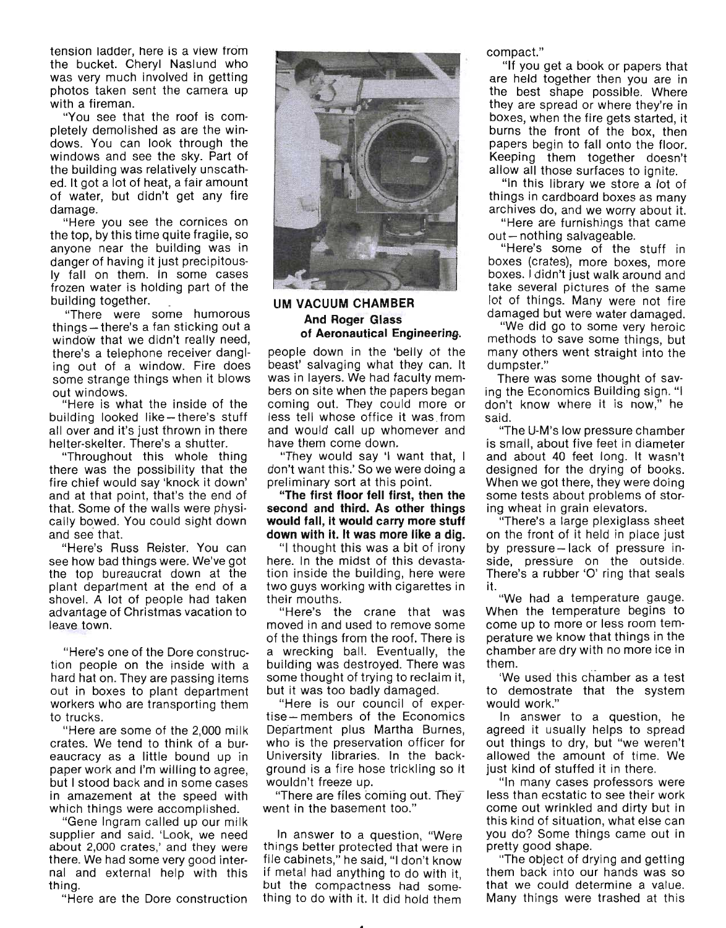tension ladder, here is a view from the bucket. Cheryl Naslund who was very much involved in getting photos taken sent the camera up with a fireman.

"You see that the roof is completely demolished as are the windows. You can look through the windows and see the sky. Part of the building was relatively unscathed. It got a lot of heat, a fair amount of water, but didn't get any fire damage.

"Here you see the cornices on the top, by this time quite fragile, so anyone near the building was in danger of having it just precipitously fallon them. In some cases frozen water is holding part of the building together. .

"There were some humorous things - there's a fan sticking out a window that we didn't really need, there's a telephone receiver dangling out of a window. Fire does some strange things when it blows

out windows. "Here is what the inside of the building looked like - there's stuff all over and it's just thrown in there helter-skelter. There's a shutter.

"Throughout this whole thing there was the possibility that the fire chief would say 'knock it down' and at that point, that's the end of that. Some of the walls were physically bowed. You could sight down and see that.

"Here's Russ Reister. You can see how bad things were. We've got the top bureaucrat down at the plant department at the end of a shovel. A lot of people had taken advantage of Christmas vacation to leave town.

"Here's one of the Dore construction people on the inside with a hard hat on. They are passing items out in boxes to plant department workers who are transporting them to trucks.

"Here are some of the 2,000 milk crates. We tend to think of a bureaucracy as a little bound up in paper work and I'm willing to agree, but I stood back and in some cases in amazement at the speed with which things were accomplished.

"Gene Ingram called up our milk supplier and said. 'Look, we need about 2,000 crates,' and they were there. We had some very good internal and external help with this thing.

"Here are the Dore construction



#### **UM VACUUM CHAMBER And Roger Glass of Aeronautical Engineering.**

people down in the 'belly of the beast' salvaging what they can. It was in layers. We had faculty members on site when the papers began coming out. They could more or less tell whose office it was from and would call up whomever and have them come down.

"They would say 'I want that, I don't want this.' So we were doing a preliminary sort at this point.

**"The first floor fell first, then the second and third. As other things would fall, it would carry more stuff down with it. It was more like a dig.** 

"I thought this was a bit of irony here. In the midst of this devastation inside the building, here were two guys working with cigarettes in their mouths.

"Here's the crane that was moved in and used to remove some of the things from the roof. There is a wrecking ball. Eventually, the building was destroyed. There was some thought of trying to reclaim it, but it was too badly damaged.

"Here is our council of exper· tise-members of the Economics Department plus Martha Burnes, who is the preservation officer for University libraries. In the background is a fire hose trickling so it wouldn't freeze up.

"There are files coming out. The  $\bar{v}$ went in the basement too."

In answer to a question, "Were things better protected that were in file cabinets," he said, "I don't know if metal had anything to do with it, but the compactness had something to do with it. It did hold them compact."

"If you get a book or papers that are held together then you are in the best shape possible. Where they are spread or where they're in boxes, when the fire gets started, it burns the front of the box, then papers begin to fall onto the floor. Keeping them together doesn't allow all those surfaces to ignite.

"In this library we store a lot of things in cardboard boxes as many archives do, and we worry about it.

"Here are furnishings that came  $out$  - nothing salvageable.

"Here's some of the stuff in boxes (crates), more boxes, more boxes. I didn't just walk around and take several pictures of the same lot of things. Many were not fire damaged but were water damaged.

"We did go to some very heroic methods to save some things, but many others went straight into the dumpster."

There was some thought of saving the Economics Building sign. "I don't know where it is now," he said.

"The U-M's low pressure chamber is small, about five feet in diameter and about 40 feet long. It wasn't designed for the drying of books. When we got there, they were doing some tests about problems of storing wheat in grain elevators.

"There's a large plexiglass sheet on the front of it held in place just by pressure-lack of pressure in· side, pressure on the outside. There's a rubber '0' ring that seals it.

"We had a temperature gauge. When the temperature begins to come up to more or less room temperature we know that things in the chamber are dry with no more ice in them.

'We used this chamber as a test to demostrate that the system would work."

In answer to a question, he agreed it usually helps to spread out things to dry, but "we weren't allowed the amount of time. We just kind of stuffed it in there.

"In many cases professors were less than ecstatic to see their work come out wrinkled and dirty but in this kind of situation, what else can you do? Some things came out in pretty good shape.

"The object of drying and getting them back into our hands was so that we could determine a value. Many things were trashed at this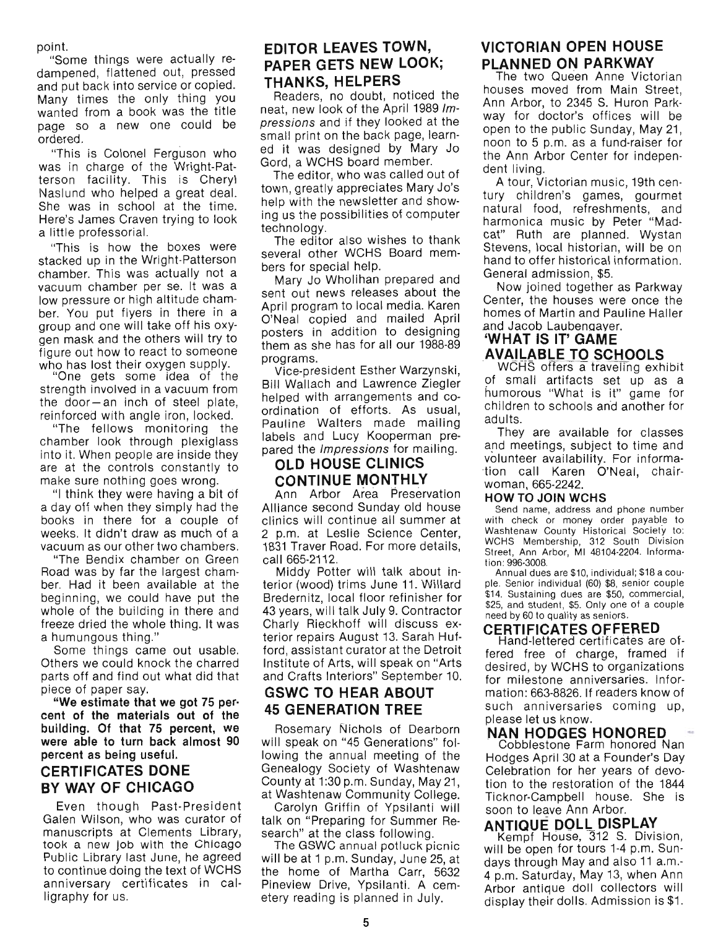point.

"Some things were actually redampened, flattened out, pressed and put back into service or copied. Many times the only thing you wanted from a book was the title page so a new one could be ordered.

"This is Colonel Ferguson who was in charge of the Wright-Patterson facility. This is Cheryl Naslund who helped a great deal. She was in school at the time. Here's James Craven trying to look a little professorial.

"This is how the boxes were stacked up in the Wright-Patterson chamber. This was actually not a vacuum chamber per se. It was a low pressure or high altitude chamber. You put flyers in there in a group and one will take off his oxygen mask and the others will try to figure out how to react to someone

who has lost their oxygen supply. "One gets some idea of the strength involved in a vacuum from the door- an inch of steel plate, reinforced with angle iron, locked.

"The fellows monitoring the chamber look through plexiglass into it. When people are inside they are at the controls constantly to make sure nothing goes wrong.

"I think they were having a bit of a day off when they simply had the books in there for a couple of weeks. It didn't draw as much of a vacuum as our other two chambers.

"The Bendix chamber on Green Road was by far the largest chamber. Had it been available at the beginning, we could have put the whole of the building in there and freeze dried the whole thing. It was a humungous thing."

Some things came out usable. Others we could knock the charred parts off and find out what did that piece of paper say.

"We estimate that we got 75 percent of the materials out of the building\_ Of that 75 percent, we were able to turn back almost 90 percent as being useful.

### CERTIFICATES DONE BY WAY OF CHICAGO

Even though Past-President Galen Wilson, who was curator of manuscripts at Clements Library, took a new job with the Chicago Public Library last June, he agreed to continue dOing the text of WCHS anniversary certificates in calligraphy for us.

#### EDITOR LEAVES TOWN, PAPER GETS NEW LOOK; THANKS, HELPERS

Readers, no doubt, noticed the neat, new look of the April 1989 Impressions and if they looked at the small print on the back page, learned it was designed by Mary Jo Gord, a WCHS board member.

The editor, who was called out of town, greatly appreCiates Mary Jo's help with the newsletter and showing us the possibilities of computer technology.

The editor also wishes to thank several other WCHS Board members for special help.

Mary Jo Wholihan prepared and sent out news releases about the April program to local media. Karen O'Neal copied and mailed April posters in addition to designing them as she has for all our 1988-89 programs.

Vice-president Esther Warzynski, Bill Wallach and Lawrence Ziegler helped with arrangements and coordination of efforts. As usual, Pauline Walters made mailing labels and Lucy Kooperman prepared the *Impressions* for mailing.

#### OLD HOUSE CLINICS CONTINUE MONTHLY

Ann Arbor Area Preservation Alliance second Sunday old house clinics will continue all summer at 2 p.m. at Leslie Science Center, 1831 Traver Road. For more details, call 665-2112.

Middy Potter will talk about interior (wood) trims June 11. Willard Bredernitz, local floor refinisher for 43 years, will talk July 9. Contractor Charly Rieckhoff will discuss exterior repairs August 13. Sarah Hufford, assistant curator at the Detroit Institute of Arts, will speak on "Arts and Crafts Interiors" September 10.

#### GSWC TO HEAR ABOUT 45 GENERATION TREE

Rosemary Nichols of Dearborn will speak on "45 Generations" following the annual meeting of the Genealogy Society of Washtenaw County at 1:30 p.m. Sunday, May 21, at Washtenaw Community College.

Carolyn Griffin of Ypsilanti will talk on "Preparing for Summer Research" at the class following.

The GSWC annual potluck picnic will be at 1 p.m. Sunday, June 25, at the home of Martha Carr, 5632 Pineview Drive, Ypsilanti. A cemetery reading is planned in July.

### VICTORIAN OPEN HOUSE PLANNED ON PARKWAY

The two Queen Anne Victorian houses moved from Main Street, Ann Arbor, to 2345 S. Huron Parkway for doctor's offices will be open to the public Sunday, May 21, noon to 5 p.m. as a fund-raiser for the Ann Arbor Center for independent living.

A tour, Victorian music, 19th century children's games, gourmet natural food, refreshments, and harmonica music by Peter "Madcat" Ruth are planned. Wystan Stevens, local historian, will be on hand to offer historical information. General admission, \$5.

Now joined together as Parkway Center, the houses were once the homes of Martin and Pauline Haller and Jacob Laubenqayer.

# 'WHAT IS IT' GAME **AVAILABLE TO SCHOOLS**<br>WGHS offers a traveling exhibit

of small artifacts set up as a humorous "What is it" game for children to schools and another for adults.

They are available for classes and meetings, subject to time and volunteer availability. For informa- -tion call Karen O'Neal, chairwoman, 665-2242.

#### HOW TO JOIN WCHS

Send name, address and phone number with check or money order payable to Washtenaw County Historical Society to: WCHS Membership, 312 South Division Street, Ann Arbor, MI 48104·2204. Informa· tion: 996·3008.

Annual dues are \$10, individual; \$18 a coupie. Senior individual (60) \$8, senior couple \$14. Sustaining dues are \$50, commercial, \$25, and student, \$5. Only one of a couple need by 60 to quality as seniors.

#### CERTIFICATES OFFERED

Hand-lettered certificates are offered free of charge, framed if desired, by WCHS to organizations for milestone anniversaries. Information: 663-8826. If readers know of such anniversaries coming up, please let us know.

# **NAN HODGES HONORED**<br>Cobblestone Farm honored Nan

Hodges April 30 at a Founder's Day Celebration for her years of devotion to the restoration of the 1844 Ticknor-Campbell house. She is soon to leave Ann Arbor.

#### ANTIQUE DOLL DISPLAY

Kempf House, 312 S. Division, will be open for tours 1-4 p.m. Sundays through May and also 11 a.m.- 4 p.m. Saturday, May 13, when Ann Arbor antique doll collectors will display their dolls. Admission is \$1.